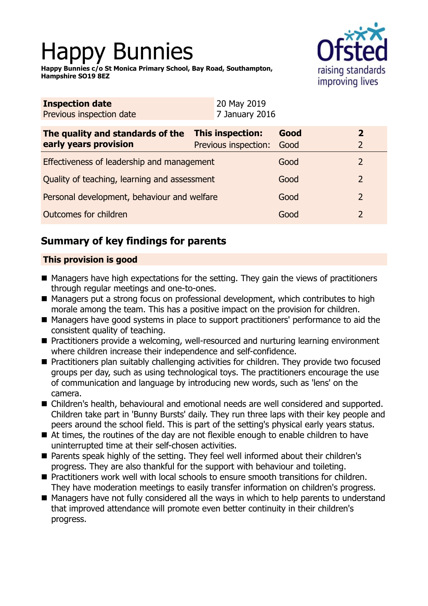# Happy Bunnies

**Happy Bunnies c/o St Monica Primary School, Bay Road, Southampton, Hampshire SO19 8EZ**



| <b>Inspection date</b><br>Previous inspection date | 20 May 2019<br>7 January 2016 |      |                |
|----------------------------------------------------|-------------------------------|------|----------------|
| The quality and standards of the                   | This inspection:              | Good | $\overline{2}$ |
| early years provision                              | Previous inspection:          | Good | $\overline{2}$ |
| Effectiveness of leadership and management         |                               | Good | 2              |
| Quality of teaching, learning and assessment       |                               | Good | $\overline{2}$ |
| Personal development, behaviour and welfare        |                               | Good | $\overline{2}$ |
| Outcomes for children                              |                               | Good | $\overline{2}$ |

# **Summary of key findings for parents**

## **This provision is good**

- Managers have high expectations for the setting. They gain the views of practitioners through regular meetings and one-to-ones.
- Managers put a strong focus on professional development, which contributes to high morale among the team. This has a positive impact on the provision for children.
- Managers have good systems in place to support practitioners' performance to aid the consistent quality of teaching.
- Practitioners provide a welcoming, well-resourced and nurturing learning environment where children increase their independence and self-confidence.
- Practitioners plan suitably challenging activities for children. They provide two focused groups per day, such as using technological toys. The practitioners encourage the use of communication and language by introducing new words, such as 'lens' on the camera.
- Children's health, behavioural and emotional needs are well considered and supported. Children take part in 'Bunny Bursts' daily. They run three laps with their key people and peers around the school field. This is part of the setting's physical early years status.
- $\blacksquare$  At times, the routines of the day are not flexible enough to enable children to have uninterrupted time at their self-chosen activities.
- Parents speak highly of the setting. They feel well informed about their children's progress. They are also thankful for the support with behaviour and toileting.
- Practitioners work well with local schools to ensure smooth transitions for children. They have moderation meetings to easily transfer information on children's progress.
- Managers have not fully considered all the ways in which to help parents to understand that improved attendance will promote even better continuity in their children's progress.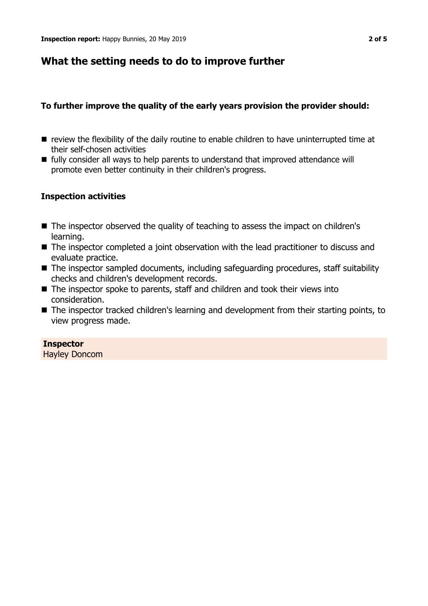## **What the setting needs to do to improve further**

## **To further improve the quality of the early years provision the provider should:**

- $\blacksquare$  review the flexibility of the daily routine to enable children to have uninterrupted time at their self-chosen activities
- fully consider all ways to help parents to understand that improved attendance will promote even better continuity in their children's progress.

## **Inspection activities**

- The inspector observed the quality of teaching to assess the impact on children's learning.
- The inspector completed a joint observation with the lead practitioner to discuss and evaluate practice.
- $\blacksquare$  The inspector sampled documents, including safeguarding procedures, staff suitability checks and children's development records.
- $\blacksquare$  The inspector spoke to parents, staff and children and took their views into consideration.
- $\blacksquare$  The inspector tracked children's learning and development from their starting points, to view progress made.

## **Inspector**

Hayley Doncom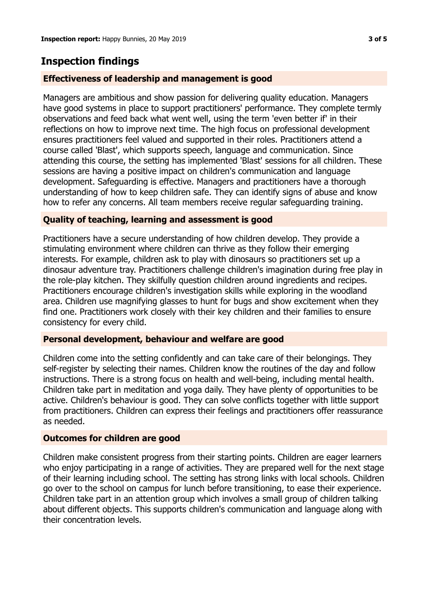## **Inspection findings**

## **Effectiveness of leadership and management is good**

Managers are ambitious and show passion for delivering quality education. Managers have good systems in place to support practitioners' performance. They complete termly observations and feed back what went well, using the term 'even better if' in their reflections on how to improve next time. The high focus on professional development ensures practitioners feel valued and supported in their roles. Practitioners attend a course called 'Blast', which supports speech, language and communication. Since attending this course, the setting has implemented 'Blast' sessions for all children. These sessions are having a positive impact on children's communication and language development. Safeguarding is effective. Managers and practitioners have a thorough understanding of how to keep children safe. They can identify signs of abuse and know how to refer any concerns. All team members receive regular safeguarding training.

## **Quality of teaching, learning and assessment is good**

Practitioners have a secure understanding of how children develop. They provide a stimulating environment where children can thrive as they follow their emerging interests. For example, children ask to play with dinosaurs so practitioners set up a dinosaur adventure tray. Practitioners challenge children's imagination during free play in the role-play kitchen. They skilfully question children around ingredients and recipes. Practitioners encourage children's investigation skills while exploring in the woodland area. Children use magnifying glasses to hunt for bugs and show excitement when they find one. Practitioners work closely with their key children and their families to ensure consistency for every child.

## **Personal development, behaviour and welfare are good**

Children come into the setting confidently and can take care of their belongings. They self-register by selecting their names. Children know the routines of the day and follow instructions. There is a strong focus on health and well-being, including mental health. Children take part in meditation and yoga daily. They have plenty of opportunities to be active. Children's behaviour is good. They can solve conflicts together with little support from practitioners. Children can express their feelings and practitioners offer reassurance as needed.

## **Outcomes for children are good**

Children make consistent progress from their starting points. Children are eager learners who enjoy participating in a range of activities. They are prepared well for the next stage of their learning including school. The setting has strong links with local schools. Children go over to the school on campus for lunch before transitioning, to ease their experience. Children take part in an attention group which involves a small group of children talking about different objects. This supports children's communication and language along with their concentration levels.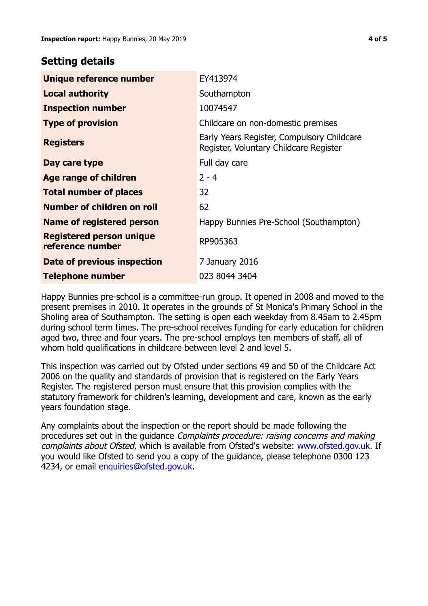## **Setting details**

| Unique reference number                             | EY413974                                                                             |  |
|-----------------------------------------------------|--------------------------------------------------------------------------------------|--|
| <b>Local authority</b>                              | Southampton                                                                          |  |
| <b>Inspection number</b>                            | 10074547                                                                             |  |
| <b>Type of provision</b>                            | Childcare on non-domestic premises                                                   |  |
| <b>Registers</b>                                    | Early Years Register, Compulsory Childcare<br>Register, Voluntary Childcare Register |  |
| Day care type                                       | Full day care                                                                        |  |
| Age range of children                               | $2 - 4$                                                                              |  |
| <b>Total number of places</b>                       | 32                                                                                   |  |
| Number of children on roll                          | 62                                                                                   |  |
| Name of registered person                           | Happy Bunnies Pre-School (Southampton)                                               |  |
| <b>Registered person unique</b><br>reference number | RP905363                                                                             |  |
| Date of previous inspection                         | 7 January 2016                                                                       |  |
| Telephone number                                    | 023 8044 3404                                                                        |  |

Happy Bunnies pre-school is a committee-run group. It opened in 2008 and moved to the present premises in 2010. It operates in the grounds of St Monica's Primary School in the Sholing area of Southampton. The setting is open each weekday from 8.45am to 2.45pm during school term times. The pre-school receives funding for early education for children aged two, three and four years. The pre-school employs ten members of staff, all of whom hold qualifications in childcare between level 2 and level 5.

This inspection was carried out by Ofsted under sections 49 and 50 of the Childcare Act 2006 on the quality and standards of provision that is registered on the Early Years Register. The registered person must ensure that this provision complies with the statutory framework for children's learning, development and care, known as the early years foundation stage.

Any complaints about the inspection or the report should be made following the procedures set out in the guidance Complaints procedure: raising concerns and making complaints about Ofsted, which is available from Ofsted's website: www.ofsted.gov.uk. If you would like Ofsted to send you a copy of the guidance, please telephone 0300 123 4234, or email [enquiries@ofsted.gov.uk.](mailto:enquiries@ofsted.gov.uk)